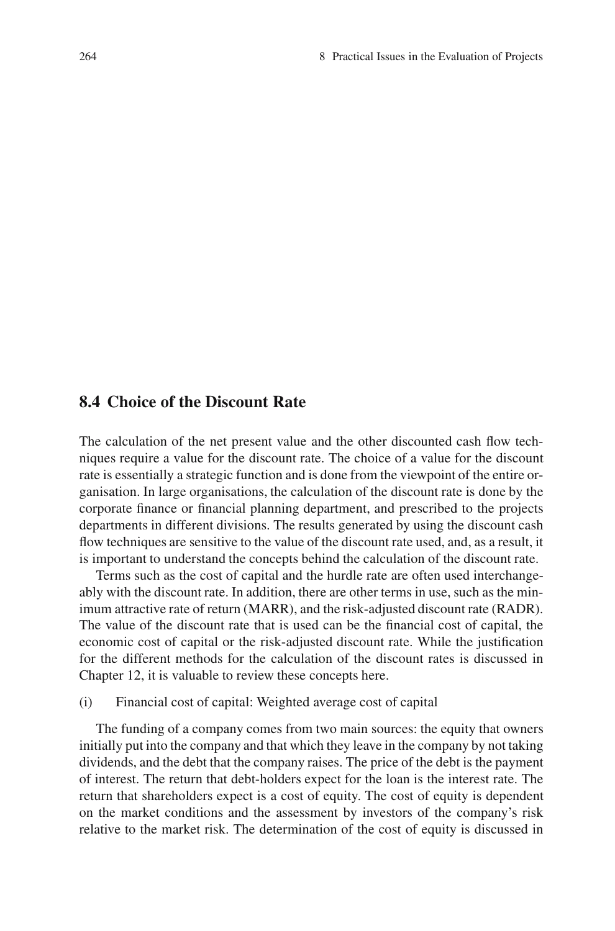## **8.4 Choice of the Discount Rate**

The calculation of the net present value and the other discounted cash flow techniques require a value for the discount rate. The choice of a value for the discount rate is essentially a strategic function and is done from the viewpoint of the entire organisation. In large organisations, the calculation of the discount rate is done by the corporate finance or financial planning department, and prescribed to the projects departments in different divisions. The results generated by using the discount cash flow techniques are sensitive to the value of the discount rate used, and, as a result, it is important to understand the concepts behind the calculation of the discount rate.

Terms such as the cost of capital and the hurdle rate are often used interchangeably with the discount rate. In addition, there are other terms in use, such as the minimum attractive rate of return (MARR), and the risk-adjusted discount rate (RADR). The value of the discount rate that is used can be the financial cost of capital, the economic cost of capital or the risk-adjusted discount rate. While the justification for the different methods for the calculation of the discount rates is discussed in Chapter 12, it is valuable to review these concepts here.

(i) Financial cost of capital: Weighted average cost of capital

The funding of a company comes from two main sources: the equity that owners initially put into the company and that which they leave in the company by not taking dividends, and the debt that the company raises. The price of the debt is the payment of interest. The return that debt-holders expect for the loan is the interest rate. The return that shareholders expect is a cost of equity. The cost of equity is dependent on the market conditions and the assessment by investors of the company's risk relative to the market risk. The determination of the cost of equity is discussed in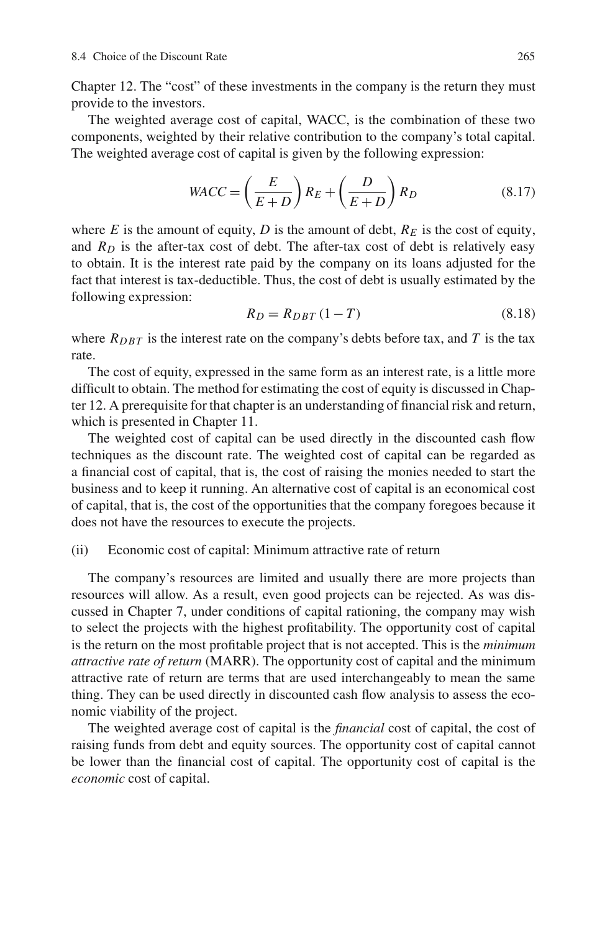Chapter 12. The "cost" of these investments in the company is the return they must provide to the investors.

The weighted average cost of capital, WACC, is the combination of these two components, weighted by their relative contribution to the company's total capital. The weighted average cost of capital is given by the following expression:

$$
WACC = \left(\frac{E}{E+D}\right)R_E + \left(\frac{D}{E+D}\right)R_D\tag{8.17}
$$

where  $E$  is the amount of equity,  $D$  is the amount of debt,  $R_E$  is the cost of equity, and  $R<sub>D</sub>$  is the after-tax cost of debt. The after-tax cost of debt is relatively easy to obtain. It is the interest rate paid by the company on its loans adjusted for the fact that interest is tax-deductible. Thus, the cost of debt is usually estimated by the following expression:

$$
R_D = R_{DBT} (1 - T) \tag{8.18}
$$

where  $R_{DBT}$  is the interest rate on the company's debts before tax, and *T* is the tax rate.

The cost of equity, expressed in the same form as an interest rate, is a little more difficult to obtain. The method for estimating the cost of equity is discussed in Chapter 12. A prerequisite for that chapter is an understanding of financial risk and return, which is presented in Chapter 11.

The weighted cost of capital can be used directly in the discounted cash flow techniques as the discount rate. The weighted cost of capital can be regarded as a financial cost of capital, that is, the cost of raising the monies needed to start the business and to keep it running. An alternative cost of capital is an economical cost of capital, that is, the cost of the opportunities that the company foregoes because it does not have the resources to execute the projects.

## (ii) Economic cost of capital: Minimum attractive rate of return

The company's resources are limited and usually there are more projects than resources will allow. As a result, even good projects can be rejected. As was discussed in Chapter 7, under conditions of capital rationing, the company may wish to select the projects with the highest profitability. The opportunity cost of capital is the return on the most profitable project that is not accepted. This is the *minimum attractive rate of return* (MARR). The opportunity cost of capital and the minimum attractive rate of return are terms that are used interchangeably to mean the same thing. They can be used directly in discounted cash flow analysis to assess the economic viability of the project.

The weighted average cost of capital is the *financial* cost of capital, the cost of raising funds from debt and equity sources. The opportunity cost of capital cannot be lower than the financial cost of capital. The opportunity cost of capital is the *economic* cost of capital.